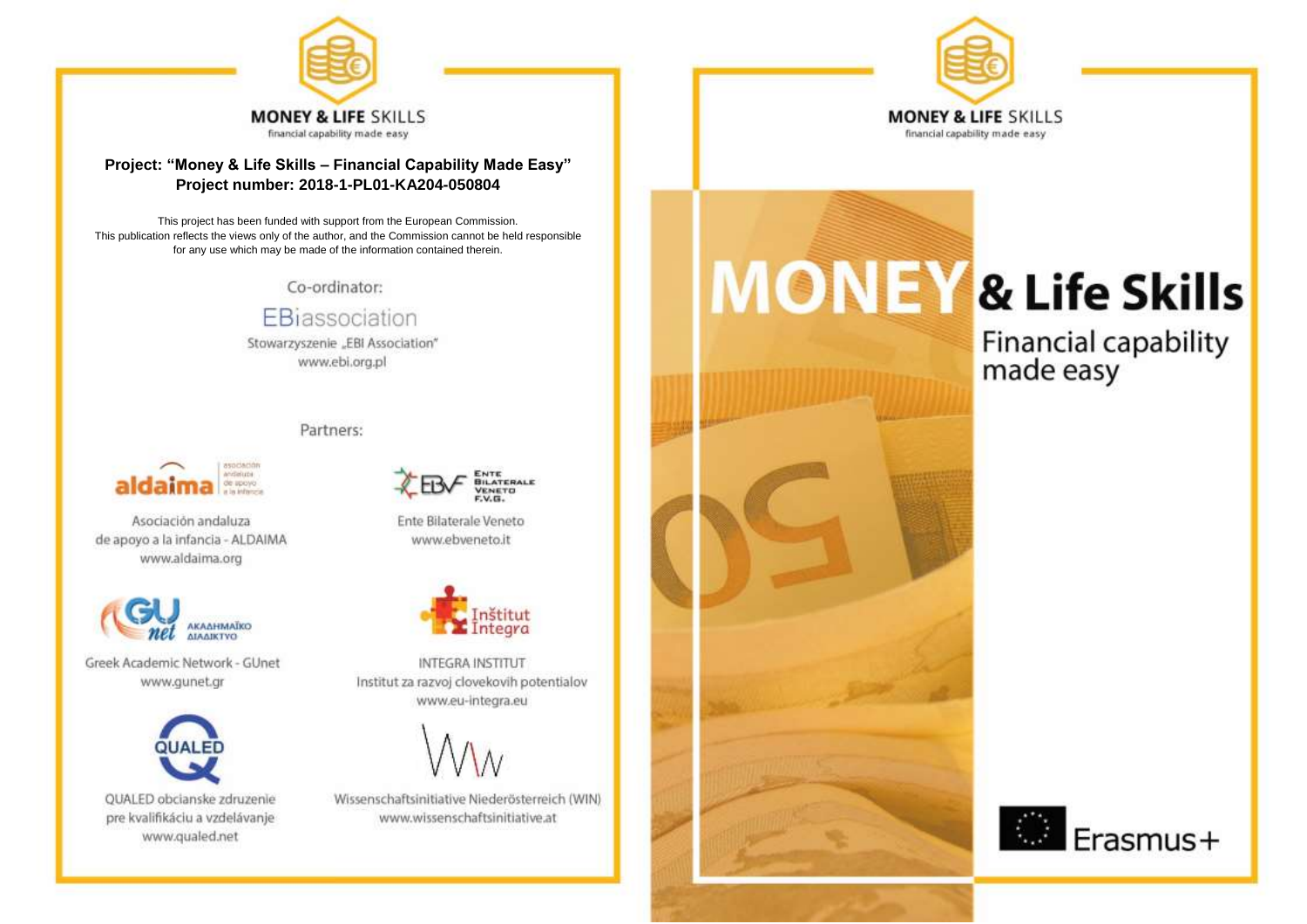

## Project: "Money & Life Skills - Financial Capability Made Easy" Project number: 2018-1-PL01-KA204-050804

This project has been funded with support from the European Commission. This publication reflects the views only of the author, and the Commission cannot be held responsible for any use which may be made of the information contained therein.

Co-ordinator:

EBiassociation

Stowarzyszenie "EBI Association" www.ebi.org.pl

## Partners:



Asociación andaluza de apoyo a la infancia - ALDAIMA www.aldaima.org



Greek Academic Network - GUnet www.gunet.gr



QUALED obcianske zdruzenie pre kvalifikáciu a vzdelávanje www.qualed.net



Ente Bilaterale Veneto www.ebveneto.it



**INTEGRA INSTITUT** Institut za razvoj clovekovih potentialov www.eu-integra.eu



Wissenschaftsinitiative Niederösterreich (WIN) www.wissenschaftsinitiative.at



# **MONEY & Life Skills**

Financial capability<br>made easy